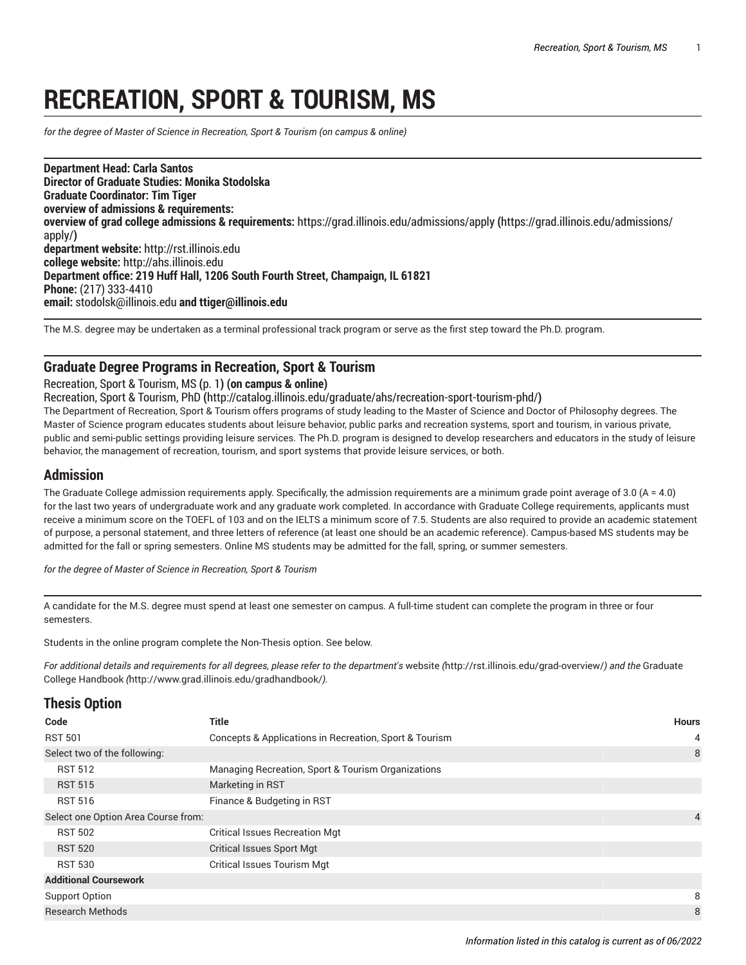# **RECREATION, SPORT & TOURISM, MS**

<span id="page-0-0"></span>*for the degree of Master of Science in Recreation, Sport & Tourism (on campus & online)*

**Department Head: Carla Santos Director of Graduate Studies: Monika Stodolska Graduate Coordinator: Tim Tiger overview of admissions & requirements: overview of grad college admissions & requirements:** [https://grad.illinois.edu/admissions/apply](https://grad.illinois.edu/admissions/apply/) **(**[https://grad.illinois.edu/admissions/](https://grad.illinois.edu/admissions/apply/) [apply/](https://grad.illinois.edu/admissions/apply/)**) department website:** <http://rst.illinois.edu> **college website:** <http://ahs.illinois.edu> **Department office: 219 Huff Hall, 1206 South Fourth Street, Champaign, IL 61821 Phone:** [\(217\) 333-4410](tel:(217) 333-4410) **email:** [stodolsk@illinois.edu](mailto:stodolsk@illinois.edu) **and ttiger@illinois.edu**

The M.S. degree may be undertaken as a terminal professional track program or serve as the first step toward the Ph.D. program.

### **Graduate Degree Programs in Recreation, Sport & Tourism**

#### [Recreation,](#page-0-0) Sport & Tourism, MS **(**[p. 1](#page-0-0)**) (on campus & online)**

[Recreation,](http://catalog.illinois.edu/graduate/ahs/recreation-sport-tourism-phd/) Sport & Tourism, PhD **(**<http://catalog.illinois.edu/graduate/ahs/recreation-sport-tourism-phd/>**)**

The Department of Recreation, Sport & Tourism offers programs of study leading to the Master of Science and Doctor of Philosophy degrees. The Master of Science program educates students about leisure behavior, public parks and recreation systems, sport and tourism, in various private, public and semi-public settings providing leisure services. The Ph.D. program is designed to develop researchers and educators in the study of leisure behavior, the management of recreation, tourism, and sport systems that provide leisure services, or both.

### **Admission**

The Graduate College admission requirements apply. Specifically, the admission requirements are a minimum grade point average of 3.0 (A = 4.0) for the last two years of undergraduate work and any graduate work completed. In accordance with Graduate College requirements, applicants must receive a minimum score on the TOEFL of 103 and on the IELTS a minimum score of 7.5. Students are also required to provide an academic statement of purpose, a personal statement, and three letters of reference (at least one should be an academic reference). Campus-based MS students may be admitted for the fall or spring semesters. Online MS students may be admitted for the fall, spring, or summer semesters.

*for the degree of Master of Science in Recreation, Sport & Tourism*

A candidate for the M.S. degree must spend at least one semester on campus. A full-time student can complete the program in three or four semesters.

Students in the online program complete the Non-Thesis option. See below.

For additional details and requirements for all degrees, please refer to the department's [website](http://rst.illinois.edu/grad-overview/) (<http://rst.illinois.edu/grad-overview/>) and the [Graduate](http://www.grad.illinois.edu/gradhandbook/) [College Handbook](http://www.grad.illinois.edu/gradhandbook/) *(*<http://www.grad.illinois.edu/gradhandbook/>*).*

### **Thesis Option**

| <b>THEOR PRUSH</b>                  |                                                        |                |
|-------------------------------------|--------------------------------------------------------|----------------|
| Code                                | <b>Title</b>                                           | <b>Hours</b>   |
| <b>RST 501</b>                      | Concepts & Applications in Recreation, Sport & Tourism | 4              |
| Select two of the following:        |                                                        | 8              |
| <b>RST 512</b>                      | Managing Recreation, Sport & Tourism Organizations     |                |
| <b>RST 515</b>                      | Marketing in RST                                       |                |
| <b>RST 516</b>                      | Finance & Budgeting in RST                             |                |
| Select one Option Area Course from: |                                                        | $\overline{4}$ |
| <b>RST 502</b>                      | <b>Critical Issues Recreation Mgt</b>                  |                |
| <b>RST 520</b>                      | <b>Critical Issues Sport Mgt</b>                       |                |
| <b>RST 530</b>                      | <b>Critical Issues Tourism Mgt</b>                     |                |
| <b>Additional Coursework</b>        |                                                        |                |
| Support Option                      |                                                        | 8              |
| <b>Research Methods</b>             |                                                        | 8              |